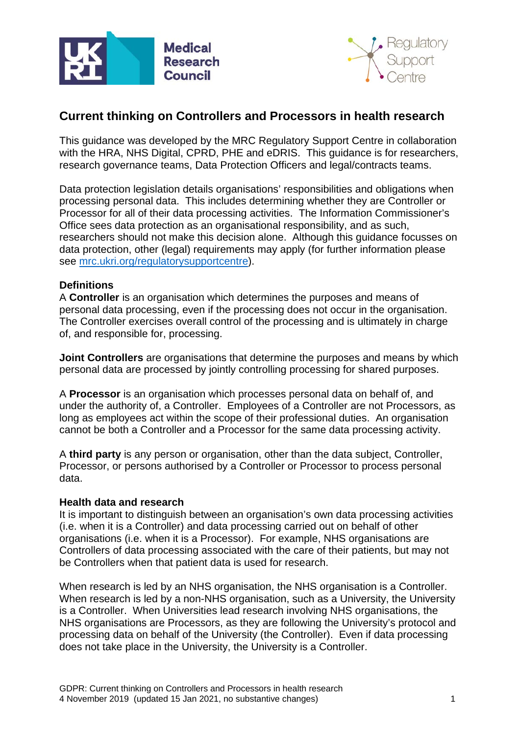



# **Current thinking on Controllers and Processors in health research**

This guidance was developed by the MRC Regulatory Support Centre in collaboration with the HRA, NHS Digital, CPRD, PHE and eDRIS. This guidance is for researchers, research governance teams, Data Protection Officers and legal/contracts teams.

Data protection legislation details organisations' responsibilities and obligations when processing personal data. This includes determining whether they are Controller or Processor for all of their data processing activities. The Information Commissioner's Office sees data protection as an organisational responsibility, and as such, researchers should not make this decision alone. Although this guidance focusses on data protection, other (legal) requirements may apply (for further information please see [mrc.ukri.org/regulatorysupportcentre\)](https://mrc.ukri.org/research/facilities-and-resources-for-researchers/regulatory-support-centre/).

## **Definitions**

A **Controller** is an organisation which determines the purposes and means of personal data processing, even if the processing does not occur in the organisation. The Controller exercises overall control of the processing and is ultimately in charge of, and responsible for, processing.

**Joint Controllers** are organisations that determine the purposes and means by which personal data are processed by jointly controlling processing for shared purposes.

A **Processor** is an organisation which processes personal data on behalf of, and under the authority of, a Controller. Employees of a Controller are not Processors, as long as employees act within the scope of their professional duties. An organisation cannot be both a Controller and a Processor for the same data processing activity.

A **third party** is any person or organisation, other than the data subject, Controller, Processor, or persons authorised by a Controller or Processor to process personal data.

## **Health data and research**

It is important to distinguish between an organisation's own data processing activities (i.e. when it is a Controller) and data processing carried out on behalf of other organisations (i.e. when it is a Processor). For example, NHS organisations are Controllers of data processing associated with the care of their patients, but may not be Controllers when that patient data is used for research.

When research is led by an NHS organisation, the NHS organisation is a Controller. When research is led by a non-NHS organisation, such as a University, the University is a Controller. When Universities lead research involving NHS organisations, the NHS organisations are Processors, as they are following the University's protocol and processing data on behalf of the University (the Controller). Even if data processing does not take place in the University, the University is a Controller.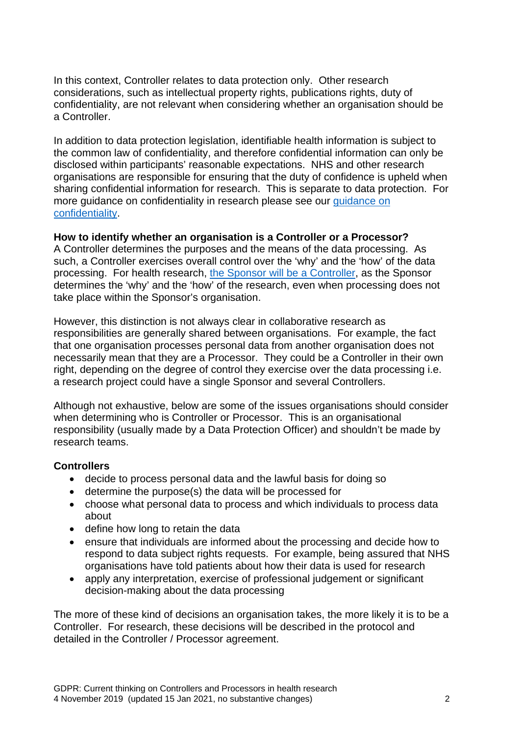In this context, Controller relates to data protection only. Other research considerations, such as intellectual property rights, publications rights, duty of confidentiality, are not relevant when considering whether an organisation should be a Controller.

In addition to data protection legislation, identifiable health information is subject to the common law of confidentiality, and therefore confidential information can only be disclosed within participants' reasonable expectations. NHS and other research organisations are responsible for ensuring that the duty of confidence is upheld when sharing confidential information for research. This is separate to data protection. For more guidance on confidentiality in research please see our [guidance on](https://mrc.ukri.org/documents/pdf/gdpr-lawful-basis-research-consent-and-confidentiality/)  [confidentiality.](https://mrc.ukri.org/documents/pdf/gdpr-lawful-basis-research-consent-and-confidentiality/)

## **How to identify whether an organisation is a Controller or a Processor?**

A Controller determines the purposes and the means of the data processing. As such, a Controller exercises overall control over the 'why' and the 'how' of the data processing. For health research, the Sponsor will [be a Controller,](https://www.hra.nhs.uk/planning-and-improving-research/policies-standards-legislation/data-protection-and-information-governance/gdpr-guidance/what-law-says/data-controllers-and-personal-data-health-and-care-research-context/) as the Sponsor determines the 'why' and the 'how' of the research, even when processing does not take place within the Sponsor's organisation.

However, this distinction is not always clear in collaborative research as responsibilities are generally shared between organisations. For example, the fact that one organisation processes personal data from another organisation does not necessarily mean that they are a Processor. They could be a Controller in their own right, depending on the degree of control they exercise over the data processing i.e. a research project could have a single Sponsor and several Controllers.

Although not exhaustive, below are some of the issues organisations should consider when determining who is Controller or Processor. This is an organisational responsibility (usually made by a Data Protection Officer) and shouldn't be made by research teams.

## **Controllers**

- decide to process personal data and the lawful basis for doing so
- determine the purpose(s) the data will be processed for
- choose what personal data to process and which individuals to process data about
- define how long to retain the data
- ensure that individuals are informed about the processing and decide how to respond to data subject rights requests. For example, being assured that NHS organisations have told patients about how their data is used for research
- apply any interpretation, exercise of professional judgement or significant decision-making about the data processing

The more of these kind of decisions an organisation takes, the more likely it is to be a Controller. For research, these decisions will be described in the protocol and detailed in the Controller / Processor agreement.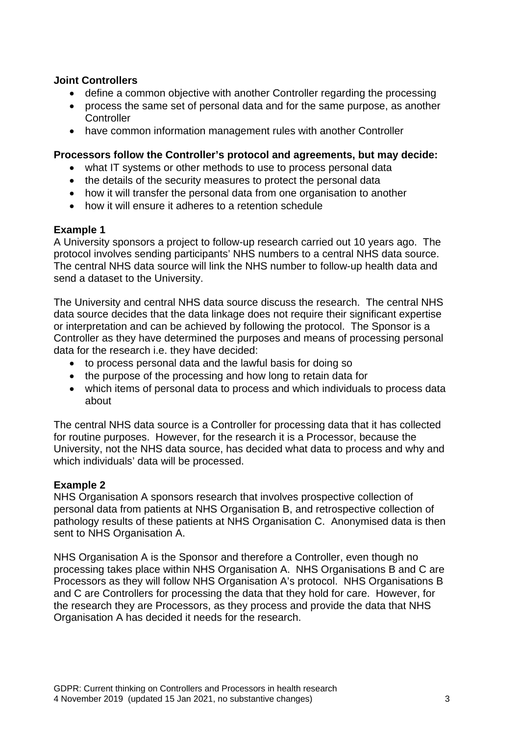## **Joint Controllers**

- define a common objective with another Controller regarding the processing
- process the same set of personal data and for the same purpose, as another **Controller**
- have common information management rules with another Controller

## **Processors follow the Controller's protocol and agreements, but may decide:**

- what IT systems or other methods to use to process personal data
- the details of the security measures to protect the personal data
- how it will transfer the personal data from one organisation to another
- how it will ensure it adheres to a retention schedule

## **Example 1**

A University sponsors a project to follow-up research carried out 10 years ago. The protocol involves sending participants' NHS numbers to a central NHS data source. The central NHS data source will link the NHS number to follow-up health data and send a dataset to the University.

The University and central NHS data source discuss the research. The central NHS data source decides that the data linkage does not require their significant expertise or interpretation and can be achieved by following the protocol. The Sponsor is a Controller as they have determined the purposes and means of processing personal data for the research i.e. they have decided:

- to process personal data and the lawful basis for doing so
- the purpose of the processing and how long to retain data for
- which items of personal data to process and which individuals to process data about

The central NHS data source is a Controller for processing data that it has collected for routine purposes. However, for the research it is a Processor, because the University, not the NHS data source, has decided what data to process and why and which individuals' data will be processed.

# **Example 2**

NHS Organisation A sponsors research that involves prospective collection of personal data from patients at NHS Organisation B, and retrospective collection of pathology results of these patients at NHS Organisation C. Anonymised data is then sent to NHS Organisation A.

NHS Organisation A is the Sponsor and therefore a Controller, even though no processing takes place within NHS Organisation A. NHS Organisations B and C are Processors as they will follow NHS Organisation A's protocol. NHS Organisations B and C are Controllers for processing the data that they hold for care. However, for the research they are Processors, as they process and provide the data that NHS Organisation A has decided it needs for the research.